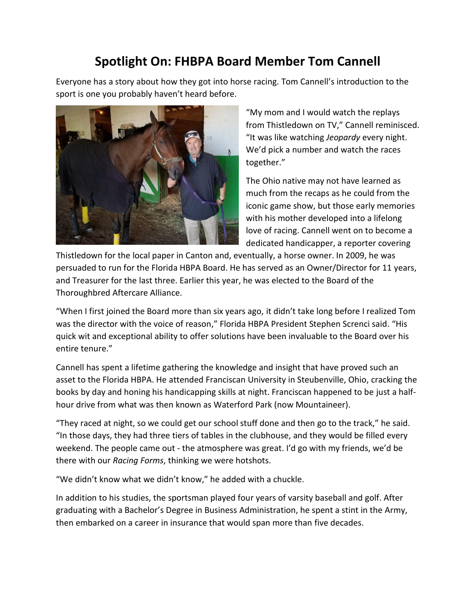## **Spotlight On: FHBPA Board Member Tom Cannell**

Everyone has a story about how they got into horse racing. Tom Cannell's introduction to the sport is one you probably haven't heard before.



"My mom and I would watch the replays from Thistledown on TV," Cannell reminisced. "It was like watching *Jeopardy* every night. We'd pick a number and watch the races together."

The Ohio native may not have learned as much from the recaps as he could from the iconic game show, but those early memories with his mother developed into a lifelong love of racing. Cannell went on to become a dedicated handicapper, a reporter covering

Thistledown for the local paper in Canton and, eventually, a horse owner. In 2009, he was persuaded to run for the Florida HBPA Board. He has served as an Owner/Director for 11 years, and Treasurer for the last three. Earlier this year, he was elected to the Board of the Thoroughbred Aftercare Alliance.

"When I first joined the Board more than six years ago, it didn't take long before I realized Tom was the director with the voice of reason," Florida HBPA President Stephen Screnci said. "His quick wit and exceptional ability to offer solutions have been invaluable to the Board over his entire tenure."

Cannell has spent a lifetime gathering the knowledge and insight that have proved such an asset to the Florida HBPA. He attended Franciscan University in Steubenville, Ohio, cracking the books by day and honing his handicapping skills at night. Franciscan happened to be just a halfhour drive from what was then known as Waterford Park (now Mountaineer).

"They raced at night, so we could get our school stuff done and then go to the track," he said. "In those days, they had three tiers of tables in the clubhouse, and they would be filled every weekend. The people came out - the atmosphere was great. I'd go with my friends, we'd be there with our *Racing Forms*, thinking we were hotshots.

"We didn't know what we didn't know," he added with a chuckle.

In addition to his studies, the sportsman played four years of varsity baseball and golf. After graduating with a Bachelor's Degree in Business Administration, he spent a stint in the Army, then embarked on a career in insurance that would span more than five decades.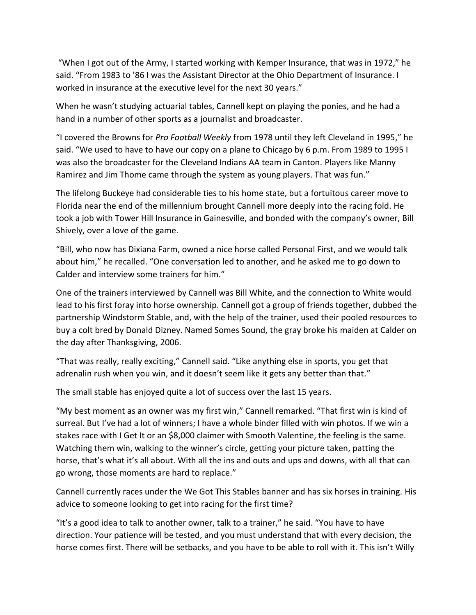"When I got out of the Army, I started working with Kemper Insurance, that was in 1972," he said. "From 1983 to '86 I was the Assistant Director at the Ohio Department of Insurance. I worked in insurance at the executive level for the next 30 years."

When he wasn't studying actuarial tables, Cannell kept on playing the ponies, and he had a hand in a number of other sports as a journalist and broadcaster.

"I covered the Browns for *Pro Football Weekly* from 1978 until they left Cleveland in 1995," he said. "We used to have to have our copy on a plane to Chicago by 6 p.m. From 1989 to 1995 I was also the broadcaster for the Cleveland Indians AA team in Canton. Players like Manny Ramirez and Jim Thome came through the system as young players. That was fun."

The lifelong Buckeye had considerable ties to his home state, but a fortuitous career move to Florida near the end of the millennium brought Cannell more deeply into the racing fold. He took a job with Tower Hill Insurance in Gainesville, and bonded with the company's owner, Bill Shively, over a love of the game.

"Bill, who now has Dixiana Farm, owned a nice horse called Personal First, and we would talk about him," he recalled. "One conversation led to another, and he asked me to go down to Calder and interview some trainers for him."

One of the trainers interviewed by Cannell was Bill White, and the connection to White would lead to his first foray into horse ownership. Cannell got a group of friends together, dubbed the partnership Windstorm Stable, and, with the help of the trainer, used their pooled resources to buy a colt bred by Donald Dizney. Named Somes Sound, the gray broke his maiden at Calder on the day after Thanksgiving, 2006.

"That was really, really exciting," Cannell said. "Like anything else in sports, you get that adrenalin rush when you win, and it doesn't seem like it gets any better than that."

The small stable has enjoyed quite a lot of success over the last 15 years.

"My best moment as an owner was my first win," Cannell remarked. "That first win is kind of surreal. But I've had a lot of winners; I have a whole binder filled with win photos. If we win a stakes race with I Get It or an \$8,000 claimer with Smooth Valentine, the feeling is the same. Watching them win, walking to the winner's circle, getting your picture taken, patting the horse, that's what it's all about. With all the ins and outs and ups and downs, with all that can go wrong, those moments are hard to replace."

Cannell currently races under the We Got This Stables banner and has six horses in training. His advice to someone looking to get into racing for the first time?

"It's a good idea to talk to another owner, talk to a trainer," he said. "You have to have direction. Your patience will be tested, and you must understand that with every decision, the horse comes first. There will be setbacks, and you have to be able to roll with it. This isn't Willy